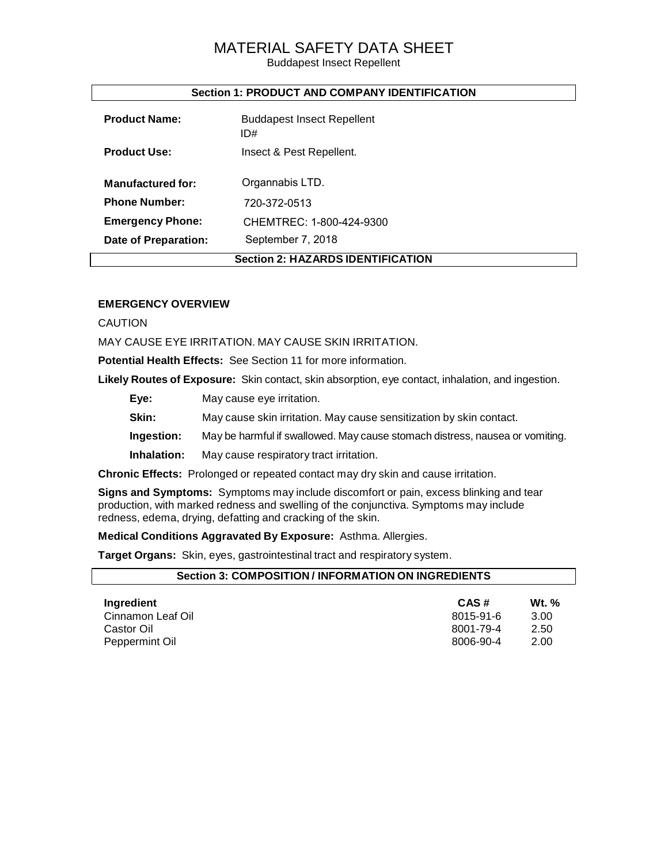Buddapest Insect Repellent

# **Section 1: PRODUCT AND COMPANY IDENTIFICATION**

| <b>Product Name:</b>    | <b>Buddapest Insect Repellent</b><br>ID# |
|-------------------------|------------------------------------------|
| <b>Product Use:</b>     | Insect & Pest Repellent.                 |
| Manufactured for:       | Organnabis LTD.                          |
| <b>Phone Number:</b>    | 720-372-0513                             |
| <b>Emergency Phone:</b> | CHEMTREC: 1-800-424-9300                 |
| Date of Preparation:    | September 7, 2018                        |
|                         | <b>Section 2: HAZARDS IDENTIFICATION</b> |

# **EMERGENCY OVERVIEW**

CAUTION

MAY CAUSE EYE IRRITATION. MAY CAUSE SKIN IRRITATION.

**Potential Health Effects:** See Section 11 for more information.

**Likely Routes of Exposure:** Skin contact, skin absorption, eye contact, inhalation, and ingestion.

**Skin:** May cause skin irritation. May cause sensitization by skin contact.

**Ingestion:** May be harmful if swallowed. May cause stomach distress, nausea or vomiting.

**Inhalation:** May cause respiratory tract irritation.

**Chronic Effects:** Prolonged or repeated contact may dry skin and cause irritation.

**Signs and Symptoms:** Symptoms may include discomfort or pain, excess blinking and tear production, with marked redness and swelling of the conjunctiva. Symptoms may include redness, edema, drying, defatting and cracking of the skin.

#### **Medical Conditions Aggravated By Exposure:** Asthma. Allergies.

**Target Organs:** Skin, eyes, gastrointestinal tract and respiratory system.

| <b>Section 3: COMPOSITION/INFORMATION ON INGREDIENTS</b> |           |       |
|----------------------------------------------------------|-----------|-------|
| Ingredient                                               | CAS#      | Wt. % |
| Cinnamon Leaf Oil                                        | 8015-91-6 | 3.00  |
| Castor Oil                                               | 8001-79-4 | 2.50  |
| Peppermint Oil                                           | 8006-90-4 | 2.00  |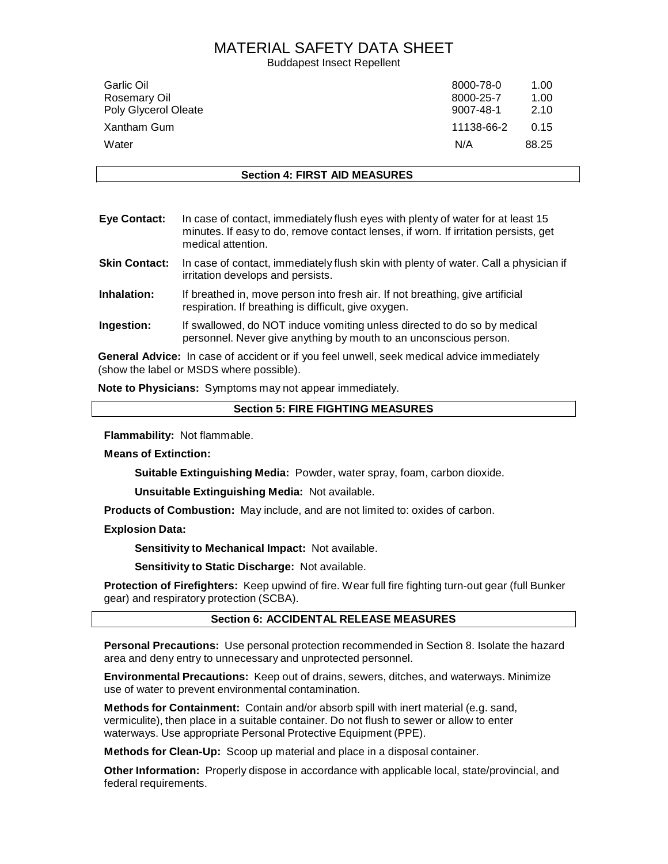Buddapest Insect Repellent

| Garlic Oil           | 8000-78-0  | 1.00  |
|----------------------|------------|-------|
| Rosemary Oil         | 8000-25-7  | 1.00  |
| Poly Glycerol Oleate | 9007-48-1  | 2.10  |
| Xantham Gum          | 11138-66-2 | 0.15  |
| Water                | N/A        | 88.25 |

# **Section 4: FIRST AID MEASURES**

| <b>Eye Contact:</b>  | In case of contact, immediately flush eyes with plenty of water for at least 15<br>minutes. If easy to do, remove contact lenses, if worn. If irritation persists, get<br>medical attention. |
|----------------------|----------------------------------------------------------------------------------------------------------------------------------------------------------------------------------------------|
| <b>Skin Contact:</b> | In case of contact, immediately flush skin with plenty of water. Call a physician if<br>irritation develops and persists.                                                                    |
| Inhalation:          | If breathed in, move person into fresh air. If not breathing, give artificial<br>respiration. If breathing is difficult, give oxygen.                                                        |
| Ingestion:           | If swallowed, do NOT induce vomiting unless directed to do so by medical<br>personnel. Never give anything by mouth to an unconscious person.                                                |
|                      | General Advice: In case of accident or if you feel unwell, seek medical advice immediately<br>(show the label or MSDS where possible).                                                       |

**Note to Physicians:** Symptoms may not appear immediately.

#### **Section 5: FIRE FIGHTING MEASURES**

**Flammability:** Not flammable.

**Means of Extinction:**

**Suitable Extinguishing Media:** Powder, water spray, foam, carbon dioxide.

**Unsuitable Extinguishing Media:** Not available.

**Products of Combustion:** May include, and are not limited to: oxides of carbon.

**Explosion Data:**

**Sensitivity to Mechanical Impact:** Not available.

**Sensitivity to Static Discharge:** Not available.

**Protection of Firefighters:** Keep upwind of fire. Wear full fire fighting turn-out gear (full Bunker gear) and respiratory protection (SCBA).

### **Section 6: ACCIDENTAL RELEASE MEASURES**

**Personal Precautions:** Use personal protection recommended in Section 8. Isolate the hazard area and deny entry to unnecessary and unprotected personnel.

**Environmental Precautions:** Keep out of drains, sewers, ditches, and waterways. Minimize use of water to prevent environmental contamination.

**Methods for Containment:** Contain and/or absorb spill with inert material (e.g. sand, vermiculite), then place in a suitable container. Do not flush to sewer or allow to enter waterways. Use appropriate Personal Protective Equipment (PPE).

**Methods for Clean-Up:** Scoop up material and place in a disposal container.

**Other Information:** Properly dispose in accordance with applicable local, state/provincial, and federal requirements.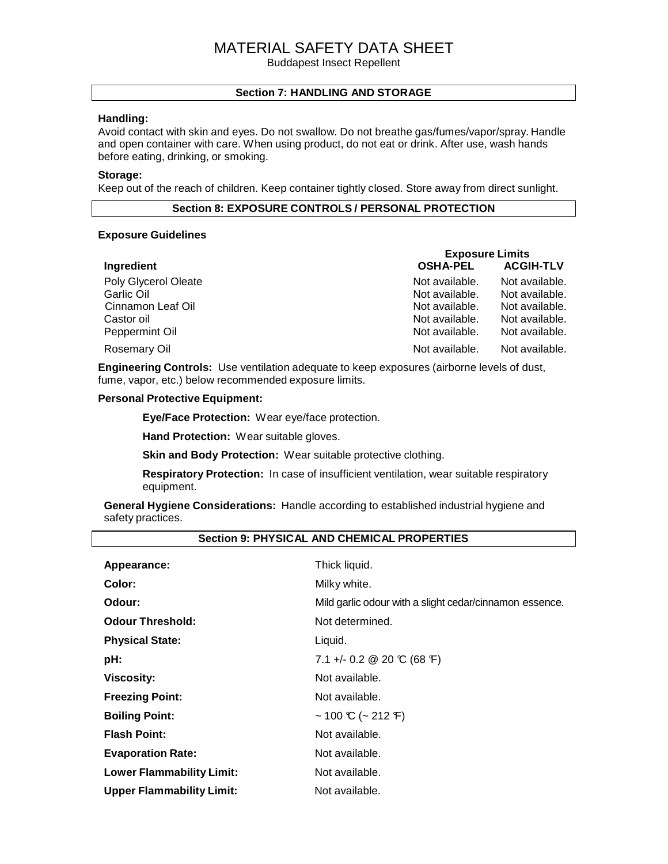Buddapest Insect Repellent

# **Section 7: HANDLING AND STORAGE**

### **Handling:**

Avoid contact with skin and eyes. Do not swallow. Do not breathe gas/fumes/vapor/spray. Handle and open container with care. When using product, do not eat or drink. After use, wash hands before eating, drinking, or smoking.

### **Storage:**

Keep out of the reach of children. Keep container tightly closed. Store away from direct sunlight.

# **Section 8: EXPOSURE CONTROLS / PERSONAL PROTECTION**

# **Exposure Guidelines**

|                      | <b>Exposure Limits</b> |                  |  |
|----------------------|------------------------|------------------|--|
| Ingredient           | <b>OSHA-PEL</b>        | <b>ACGIH-TLV</b> |  |
| Poly Glycerol Oleate | Not available.         | Not available.   |  |
| Garlic Oil           | Not available.         | Not available.   |  |
| Cinnamon Leaf Oil    | Not available.         | Not available.   |  |
| Castor oil           | Not available.         | Not available.   |  |
| Peppermint Oil       | Not available.         | Not available.   |  |
| Rosemary Oil         | Not available.         | Not available.   |  |

**Engineering Controls:** Use ventilation adequate to keep exposures (airborne levels of dust, fume, vapor, etc.) below recommended exposure limits.

# **Personal Protective Equipment:**

**Eye/Face Protection:** Wear eye/face protection.

**Hand Protection:** Wear suitable gloves.

**Skin and Body Protection:** Wear suitable protective clothing.

**Respiratory Protection:** In case of insufficient ventilation, wear suitable respiratory equipment.

**General Hygiene Considerations:** Handle according to established industrial hygiene and safety practices.

|                                  | Section 9: PHYSICAL AND CHEMICAL PROPERTIES             |
|----------------------------------|---------------------------------------------------------|
| Appearance:                      | Thick liquid.                                           |
| Color:                           | Milky white.                                            |
| Odour:                           | Mild garlic odour with a slight cedar/cinnamon essence. |
| <b>Odour Threshold:</b>          | Not determined.                                         |
| <b>Physical State:</b>           | Liquid.                                                 |
| pH:                              | 7.1 +/- 0.2 @ 20 °C (68 °F)                             |
| <b>Viscosity:</b>                | Not available.                                          |
| <b>Freezing Point:</b>           | Not available.                                          |
| <b>Boiling Point:</b>            | $\sim$ 100 °C (~ 212 °F)                                |
| <b>Flash Point:</b>              | Not available.                                          |
| <b>Evaporation Rate:</b>         | Not available.                                          |
| <b>Lower Flammability Limit:</b> | Not available.                                          |
| <b>Upper Flammability Limit:</b> | Not available.                                          |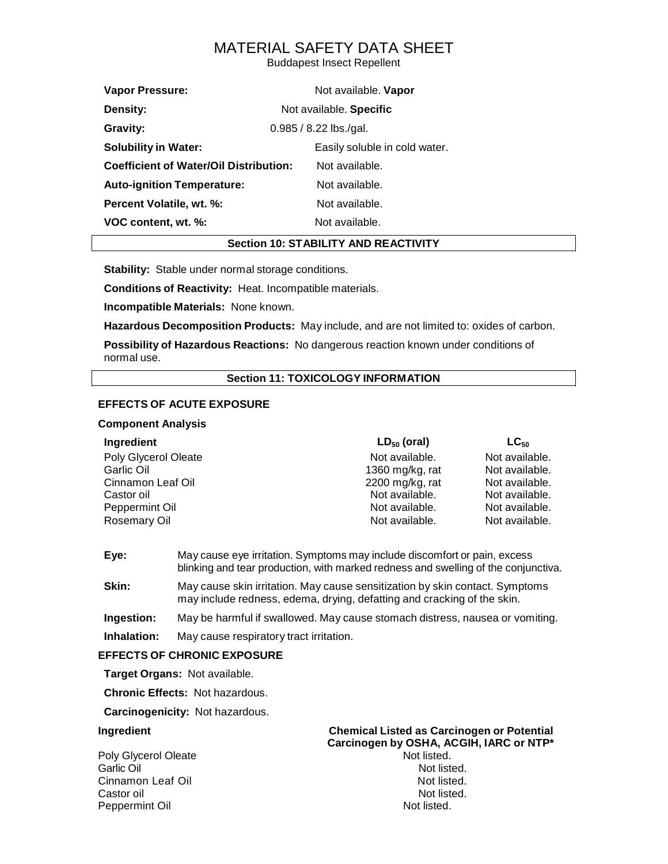Buddapest Insect Repellent

| <b>Vapor Pressure:</b>                        | Not available. Vapor          |  |  |
|-----------------------------------------------|-------------------------------|--|--|
| Density:                                      | Not available. Specific       |  |  |
| Gravity:                                      | $0.985 / 8.22$ lbs./gal.      |  |  |
| <b>Solubility in Water:</b>                   | Easily soluble in cold water. |  |  |
| <b>Coefficient of Water/Oil Distribution:</b> | Not available.                |  |  |
| <b>Auto-ignition Temperature:</b>             | Not available.                |  |  |
| Percent Volatile, wt. %:                      | Not available.                |  |  |
| VOC content, wt. %:                           | Not available.                |  |  |

#### **Section 10: STABILITY AND REACTIVITY**

**Stability:** Stable under normal storage conditions.

**Conditions of Reactivity:** Heat. Incompatible materials.

**Incompatible Materials:** None known.

**Hazardous Decomposition Products:** May include, and are not limited to: oxides of carbon.

**Possibility of Hazardous Reactions:** No dangerous reaction known under conditions of normal use.

# **Section 11: TOXICOLOGY INFORMATION**

# **EFFECTS OF ACUTE EXPOSURE**

#### **Component Analysis**

| Ingredient           | $LD_{50}$ (oral) | $LG_{50}$      |
|----------------------|------------------|----------------|
| Poly Glycerol Oleate | Not available.   | Not available. |
| Garlic Oil           | 1360 mg/kg, rat  | Not available. |
| Cinnamon Leaf Oil    | 2200 mg/kg, rat  | Not available. |
| Castor oil           | Not available.   | Not available. |
| Peppermint Oil       | Not available.   | Not available. |
| Rosemary Oil         | Not available.   | Not available. |

| Eye: | May cause eye irritation. Symptoms may include discomfort or pain, excess          |
|------|------------------------------------------------------------------------------------|
|      | blinking and tear production, with marked redness and swelling of the conjunctiva. |

**Skin:** May cause skin irritation. May cause sensitization by skin contact. Symptoms may include redness, edema, drying, defatting and cracking of the skin.

**Ingestion:** May be harmful if swallowed. May cause stomach distress, nausea or vomiting.

**Inhalation:** May cause respiratory tract irritation.

#### **EFFECTS OF CHRONIC EXPOSURE**

**Target Organs:** Not available.

**Chronic Effects:** Not hazardous.

**Carcinogenicity:** Not hazardous.

Poly Glycerol Oleate Cinnamon Leaf Oil **Not listed.**<br>Castor oil Not listed. Castor oil **Not listed**. Peppermint Oil Not listed.

**Ingredient Chemical Listed as Carcinogen or Potential Carcinogen by OSHA, ACGIH, IARC or NTP\*** Garlic Oil **Garlic Oil Garlic Oil Science Community** Controller Mot listed.<br>Cinnamon Leaf Oil **Community Community Community Community** Not listed.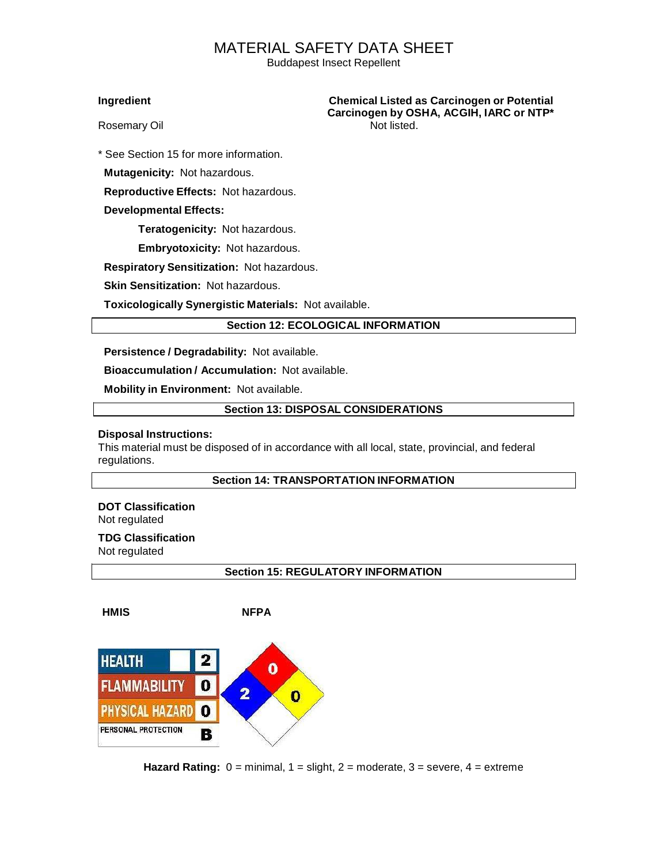Buddapest Insect Repellent

**Ingredient Chemical Listed as Carcinogen or Potential Carcinogen by OSHA, ACGIH, IARC or NTP\***

Rosemary Oil

\* See Section 15 for more information.

**Mutagenicity:** Not hazardous.

**Reproductive Effects:** Not hazardous.

**Developmental Effects:**

**Teratogenicity:** Not hazardous.

**Embryotoxicity:** Not hazardous.

**Respiratory Sensitization:** Not hazardous.

**Skin Sensitization:** Not hazardous.

**Toxicologically Synergistic Materials:** Not available.

### **Section 12: ECOLOGICAL INFORMATION**

**Persistence / Degradability:** Not available.

**Bioaccumulation / Accumulation:** Not available.

**Mobility in Environment:** Not available.

### **Section 13: DISPOSAL CONSIDERATIONS**

#### **Disposal Instructions:**

This material must be disposed of in accordance with all local, state, provincial, and federal regulations.

# **Section 14: TRANSPORTATION INFORMATION**

**DOT Classification** Not regulated

**TDG Classification** Not regulated

**Section 15: REGULATORY INFORMATION**

**HMIS NFPA**



**Hazard Rating:**  $0 = \text{minimal}$ ,  $1 = \text{slight}$ ,  $2 = \text{moderate}$ ,  $3 = \text{severe}$ ,  $4 = \text{extreme}$